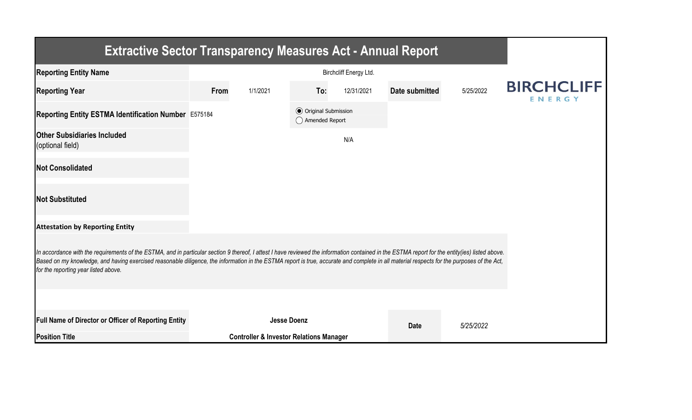| <b>Extractive Sector Transparency Measures Act - Annual Report</b>                                                                                                                                                                                                                                                                                                                                                                    |      |                                                    |                                                  |            |                |           |                             |  |  |  |
|---------------------------------------------------------------------------------------------------------------------------------------------------------------------------------------------------------------------------------------------------------------------------------------------------------------------------------------------------------------------------------------------------------------------------------------|------|----------------------------------------------------|--------------------------------------------------|------------|----------------|-----------|-----------------------------|--|--|--|
| <b>Reporting Entity Name</b>                                                                                                                                                                                                                                                                                                                                                                                                          |      |                                                    |                                                  |            |                |           |                             |  |  |  |
| <b>Reporting Year</b>                                                                                                                                                                                                                                                                                                                                                                                                                 | From | 1/1/2021                                           | To:                                              | 12/31/2021 | Date submitted | 5/25/2022 | <b>BIRCHCLIFF</b><br>ENERGY |  |  |  |
| Reporting Entity ESTMA Identification Number E575184                                                                                                                                                                                                                                                                                                                                                                                  |      |                                                    | <b>⊙</b> Original Submission<br>◯ Amended Report |            |                |           |                             |  |  |  |
| <b>Other Subsidiaries Included</b><br>(optional field)                                                                                                                                                                                                                                                                                                                                                                                |      |                                                    |                                                  | N/A        |                |           |                             |  |  |  |
| <b>Not Consolidated</b>                                                                                                                                                                                                                                                                                                                                                                                                               |      |                                                    |                                                  |            |                |           |                             |  |  |  |
| <b>Not Substituted</b>                                                                                                                                                                                                                                                                                                                                                                                                                |      |                                                    |                                                  |            |                |           |                             |  |  |  |
| <b>Attestation by Reporting Entity</b>                                                                                                                                                                                                                                                                                                                                                                                                |      |                                                    |                                                  |            |                |           |                             |  |  |  |
| In accordance with the requirements of the ESTMA, and in particular section 9 thereof, I attest I have reviewed the information contained in the ESTMA report for the entity(ies) listed above.<br>Based on my knowledge, and having exercised reasonable diligence, the information in the ESTMA report is true, accurate and complete in all material respects for the purposes of the Act,<br>for the reporting year listed above. |      |                                                    |                                                  |            |                |           |                             |  |  |  |
|                                                                                                                                                                                                                                                                                                                                                                                                                                       |      |                                                    |                                                  |            |                |           |                             |  |  |  |
| <b>Full Name of Director or Officer of Reporting Entity</b>                                                                                                                                                                                                                                                                                                                                                                           |      | <b>Jesse Doenz</b>                                 |                                                  |            | <b>Date</b>    | 5/25/2022 |                             |  |  |  |
| <b>Position Title</b>                                                                                                                                                                                                                                                                                                                                                                                                                 |      | <b>Controller &amp; Investor Relations Manager</b> |                                                  |            |                |           |                             |  |  |  |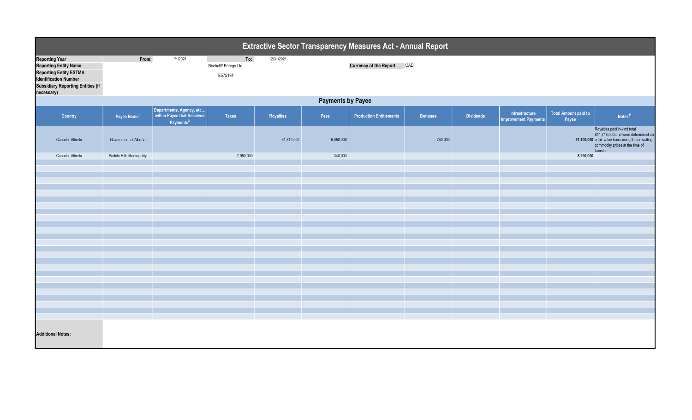| Extractive Sector Transparency Measures Act - Annual Report                                                                                                                      |                           |                                                                                 |                                          |            |           |                                |                |                  |                                               |                                      |                                                                                                                                                                           |
|----------------------------------------------------------------------------------------------------------------------------------------------------------------------------------|---------------------------|---------------------------------------------------------------------------------|------------------------------------------|------------|-----------|--------------------------------|----------------|------------------|-----------------------------------------------|--------------------------------------|---------------------------------------------------------------------------------------------------------------------------------------------------------------------------|
| <b>Reporting Year</b><br><b>Reporting Entity Name</b><br><b>Reporting Entity ESTMA</b><br><b>Identification Number</b><br><b>Subsidiary Reporting Entities (if</b><br>necessary) | From:                     | 1/1/2021                                                                        | To:<br>Birchcliff Energy Ltd.<br>E575184 | 12/31/2021 |           | <b>Currency of the Report</b>  | CAD            |                  |                                               |                                      |                                                                                                                                                                           |
|                                                                                                                                                                                  | <b>Payments by Payee</b>  |                                                                                 |                                          |            |           |                                |                |                  |                                               |                                      |                                                                                                                                                                           |
| Country                                                                                                                                                                          | Payee Name <sup>1</sup>   | Departments, Agency, etc<br>within Payee that Received<br>Payments <sup>2</sup> | Taxes                                    | Royalties  | Fees      | <b>Production Entitlements</b> | <b>Bonuses</b> | <b>Dividends</b> | Infrastructure<br><b>Improvement Payments</b> | <b>Total Amount paid to</b><br>Payee | Notes <sup>34</sup>                                                                                                                                                       |
| Canada - Alberta                                                                                                                                                                 | Government of Alberta     |                                                                                 |                                          | 61,310,000 | 5,050,000 |                                | 740,000        |                  |                                               |                                      | Royalties paid in-kind total<br>\$11,718,000 and were determined on<br>67,100,000 a fair value basis using the prevailing<br>commodity prices at the time of<br>transfer. |
| Canada -Alberta                                                                                                                                                                  | Saddle Hills Municipality |                                                                                 | 7,950,000                                |            | 340,000   |                                |                |                  |                                               | 8,290,000                            |                                                                                                                                                                           |
|                                                                                                                                                                                  |                           |                                                                                 |                                          |            |           |                                |                |                  |                                               |                                      |                                                                                                                                                                           |
|                                                                                                                                                                                  |                           |                                                                                 |                                          |            |           |                                |                |                  |                                               |                                      |                                                                                                                                                                           |
|                                                                                                                                                                                  |                           |                                                                                 |                                          |            |           |                                |                |                  |                                               |                                      |                                                                                                                                                                           |
|                                                                                                                                                                                  |                           |                                                                                 |                                          |            |           |                                |                |                  |                                               |                                      |                                                                                                                                                                           |
|                                                                                                                                                                                  |                           |                                                                                 |                                          |            |           |                                |                |                  |                                               |                                      |                                                                                                                                                                           |
|                                                                                                                                                                                  |                           |                                                                                 |                                          |            |           |                                |                |                  |                                               |                                      |                                                                                                                                                                           |
|                                                                                                                                                                                  |                           |                                                                                 |                                          |            |           |                                |                |                  |                                               |                                      |                                                                                                                                                                           |
|                                                                                                                                                                                  |                           |                                                                                 |                                          |            |           |                                |                |                  |                                               |                                      |                                                                                                                                                                           |
|                                                                                                                                                                                  |                           |                                                                                 |                                          |            |           |                                |                |                  |                                               |                                      |                                                                                                                                                                           |
|                                                                                                                                                                                  |                           |                                                                                 |                                          |            |           |                                |                |                  |                                               |                                      |                                                                                                                                                                           |
|                                                                                                                                                                                  |                           |                                                                                 |                                          |            |           |                                |                |                  |                                               |                                      |                                                                                                                                                                           |
|                                                                                                                                                                                  |                           |                                                                                 |                                          |            |           |                                |                |                  |                                               |                                      |                                                                                                                                                                           |
|                                                                                                                                                                                  |                           |                                                                                 |                                          |            |           |                                |                |                  |                                               |                                      |                                                                                                                                                                           |
|                                                                                                                                                                                  |                           |                                                                                 |                                          |            |           |                                |                |                  |                                               |                                      |                                                                                                                                                                           |
|                                                                                                                                                                                  |                           |                                                                                 |                                          |            |           |                                |                |                  |                                               |                                      |                                                                                                                                                                           |
|                                                                                                                                                                                  |                           |                                                                                 |                                          |            |           |                                |                |                  |                                               |                                      |                                                                                                                                                                           |
| <b>Additional Notes:</b>                                                                                                                                                         |                           |                                                                                 |                                          |            |           |                                |                |                  |                                               |                                      |                                                                                                                                                                           |